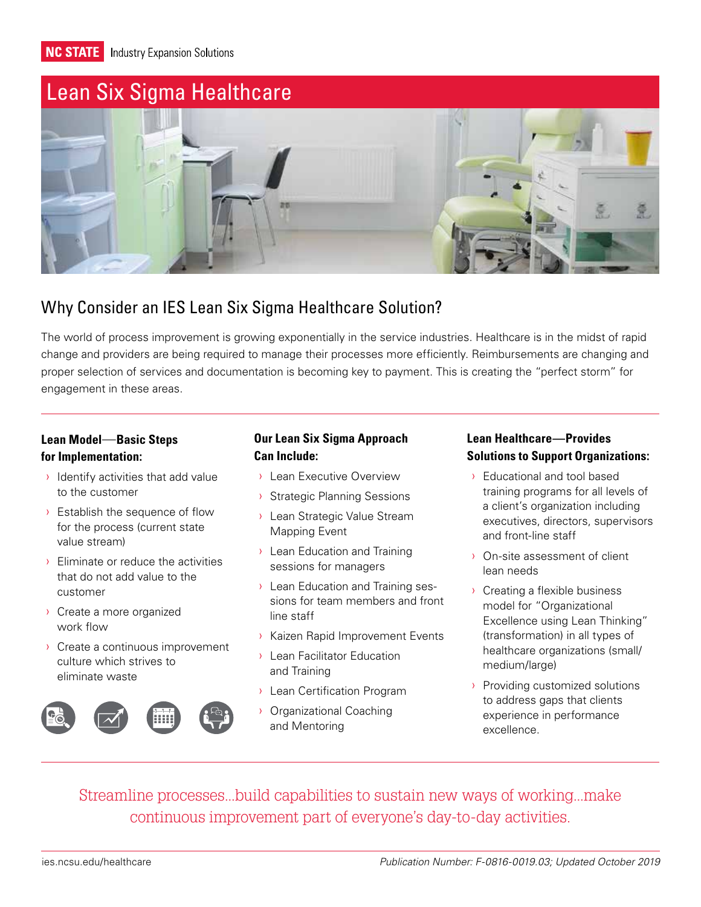**NC STATE** Industry Expansion Solutions

# [Lean Six Sigma Healthcare](https://www.ies.ncsu.edu/solution/lean-healthcare/)



### Why Consider an IES Lean Six Sigma Healthcare Solution?

The world of process improvement is growing exponentially in the service industries. Healthcare is in the midst of rapid change and providers are being required to manage their processes more efficiently. Reimbursements are changing and proper selection of services and documentation is becoming key to payment. This is creating the "perfect storm" for engagement in these areas.

#### **Lean Model**—**Basic Steps for Implementation:**

- $\rightarrow$  Identify activities that add value to the customer
- **>** Establish the sequence of flow for the process (current state value stream)
- › Eliminate or reduce the activities that do not add value to the customer
- › Create a more organized work flow
- › Create a continuous improvement culture which strives to eliminate waste



#### **Our Lean Six Sigma Approach Can Include:**

- › Lean Executive Overview
- › Strategic Planning Sessions
- › Lean Strategic Value Stream Mapping Event
- › Lean Education and Training sessions for managers
- › Lean Education and Training sessions for team members and front line staff
- › Kaizen Rapid Improvement Events
- › Lean Facilitator Education and Training
- › Lean Certification Program
- › Organizational Coaching and Mentoring

#### **Lean Healthcare—Provides Solutions to Support Organizations:**

- › Educational and tool based training programs for all levels of a client's organization including executives, directors, supervisors and front-line staff
- › On-site assessment of client lean needs
- › Creating a flexible business model for "Organizational Excellence using Lean Thinking" (transformation) in all types of healthcare organizations (small/ medium/large)
- › Providing customized solutions to address gaps that clients experience in performance excellence.

Streamline processes...build capabilities to sustain new ways of working...make continuous improvement part of everyone's day-to-day activities.